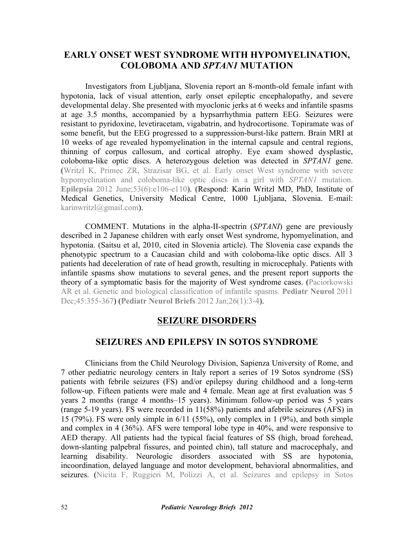## **EARLY ONSET WEST SYNDROME WITH HYPOMYELINATION, COLOBOMA AND** *SPTAN1* **MUTATION**

Investigators from Ljubljana, Slovenia report an 8-month-old female infant with hypotonia, lack of visual attention, early onset epileptic encephalopathy, and severe developmental delay. She presented with myoclonic jerks at 6 weeks and infantile spasms at age 3.5 months, accompanied by a hypsarrhythmia pattern EEG. Seizures were resistant to pyridoxine, levetiracetam, vigabatrin, and hydrocortisone. Topiramate was of some benefit, but the EEG progressed to a suppression-burst-like pattern. Brain MRI at 10 weeks of age revealed hypomyelination in the internal capsule and central regions, thinning of corpus callosum, and cortical atrophy. Eye exam showed dysplastic, coloboma-like optic discs. A heterozygous deletion was detected in *SPTAN1* gene. [\(Writzl K, Primec ZR, Strazisar BG, et al. Early onset West syndrome with severe](http://dx.doi.org/10.1111/j.1528-1167.2012.03437.x) hypomyelination and coloboma-like optic discs in a girl with *SPTAN1* mutation. **Epilepsia** 2012 June;53(6):e106-e110). (Respond: Karin Writzl MD, PhD, Institute of Medical Genetics, University Medical Centre, 1000 Ljubljana, Slovenia. E-mail: karinwritzl@gmail.com).

COMMENT. Mutations in the alpha-II-spectrin (*SPTANI*) gene are previously described in 2 Japanese children with early onset West syndrome, hypomyelination, and hypotonia. (Saitsu et al, 2010, cited in Slovenia article). The Slovenia case expands the phenotypic spectrum to a Caucasian child and with coloboma-like optic discs. All 3 patients had deceleration of rate of head growth, resulting in microcephaly. Patients with infantile spasms show mutations to several genes, and the present report supports the [theory of a symptomatic basis for the majority of West syndrome cases. \(Paciorkowski](http://dx.doi.org/10.1016/j.pediatrneurol.2011.08.010) AR et al. Genetic and biological classification of infantile spasms. **Pediatr Neurol** 2011 Dec;45:355-367) (**[Pediatr Neurol Briefs](http://www.pediatricneurologybriefs.com/)** 2012 Jan;26(1):3-4).

## **SEIZURE DISORDERS**

## **SEIZURES AND EPILEPSY IN SOTOS SYNDROME**

Clinicians from the Child Neurology Division, Sapienza University of Rome, and 7 other pediatric neurology centers in Italy report a series of 19 Sotos syndrome (SS) patients with febrile seizures (FS) and/or epilepsy during childhood and a long-term follow-up. Fifteen patients were male and 4 female. Mean age at first evaluation was 5 years 2 months (range 4 months–15 years). Minimum follow-up period was 5 years (range 5-19 years). FS were recorded in 11(58%) patients and afebrile seizures (AFS) in 15 (79%). FS were only simple in 6/11 (55%), only complex in 1 (9%), and both simple and complex in 4 (36%). AFS were temporal lobe type in 40%, and were responsive to AED therapy. All patients had the typical facial features of SS (high, broad forehead, down-slanting palpebral fissures, and pointed chin), tall stature and macrocephaly, and learning disability. Neurologic disorders associated with SS are hypotonia, incoordination, delayed language and motor development, behavioral abnormalities, and seizures. ([Nicita F, Ruggieri M, Polizzi A, et al. Seizures and epilepsy in Sotos](http://dx.doi.org/10.1111/j.1528-1167.2012.03418.x)